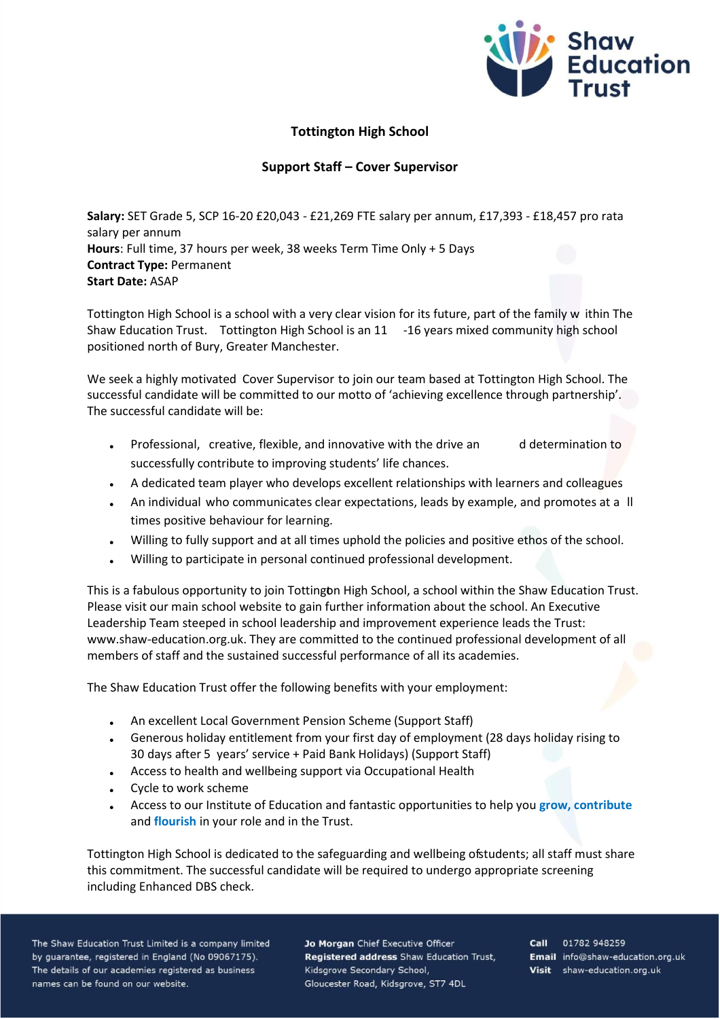

## **Tottington High School**

## **Support Staff – Cover Supervisor**

**Salary:** SET Grade 5, SCP 16-20 £20,043 - £21,269 FTE salary per annum, £17,393 - £18,457 pro rata salary per annum **Hours**: Full time, 37 hours per week, 38 weeks Term Time Only + 5 Days **Contract Type:** Permanent **Start Date:** ASAP

Tottington High School is a school with a very clear vision for its future, part of the family w ithin The Shaw Education Trust. Tottington High School is an 11 -16 years mixed community high school positioned north of Bury, Greater Manchester.

We seek a highly motivated Cover Supervisor to join our team based at Tottington High School. The successful candidate will be committed to our motto of 'achieving excellence through partnership'. The successful candidate will be:

- Professional, creative, flexible, and innovative with the drive an d determination to successfully contribute to improving students' life chances.
- A dedicated team player who develops excellent relationships with learners and colleagues
- An individual who communicates clear expectations, leads by example, and promotes at a ll times positive behaviour for learning.
- Willing to fully support and at all times uphold the policies and positive ethos of the school.
- Willing to participate in personal continued professional development.

This is a fabulous opportunity to join Tottington High School, a school within the Shaw Education Trust. Please visit our main school website to gain further information about the school. An Executive Leadership Team steeped in school leadership and improvement experience leads the Trust: www.shaw-education.org.uk. They are committed to the continued professional development of all members of staff and the sustained successful performance of all its academies.

The Shaw Education Trust offer the following benefits with your employment:

- An excellent Local Government Pension Scheme (Support Staff)
- Generous holiday entitlement from your first day of employment (28 days holiday rising to 30 days after 5 years' service + Paid Bank Holidays) (Support Staff)
- Access to health and wellbeing support via Occupational Health
- Cycle to work scheme
- Access to our Institute of Education and fantastic opportunities to help you **grow, contribute** and **flourish** in your role and in the Trust.

Tottington High School is dedicated to the safeguarding and wellbeing of students; all staff must share this commitment. The successful candidate will be required to undergo appropriate screening including Enhanced DBS check.

The Shaw Education Trust Limited is a company limited by guarantee, registered in England (No 09067175). The details of our academies registered as business names can be found on our website.

Jo Morgan Chief Executive Officer Registered address Shaw Education Trust, Kidsgrove Secondary School, Gloucester Road, Kidsgrove, ST7 4DL

Call 01782 948259 Email info@shaw-education.org.uk Visit shaw-education.org.uk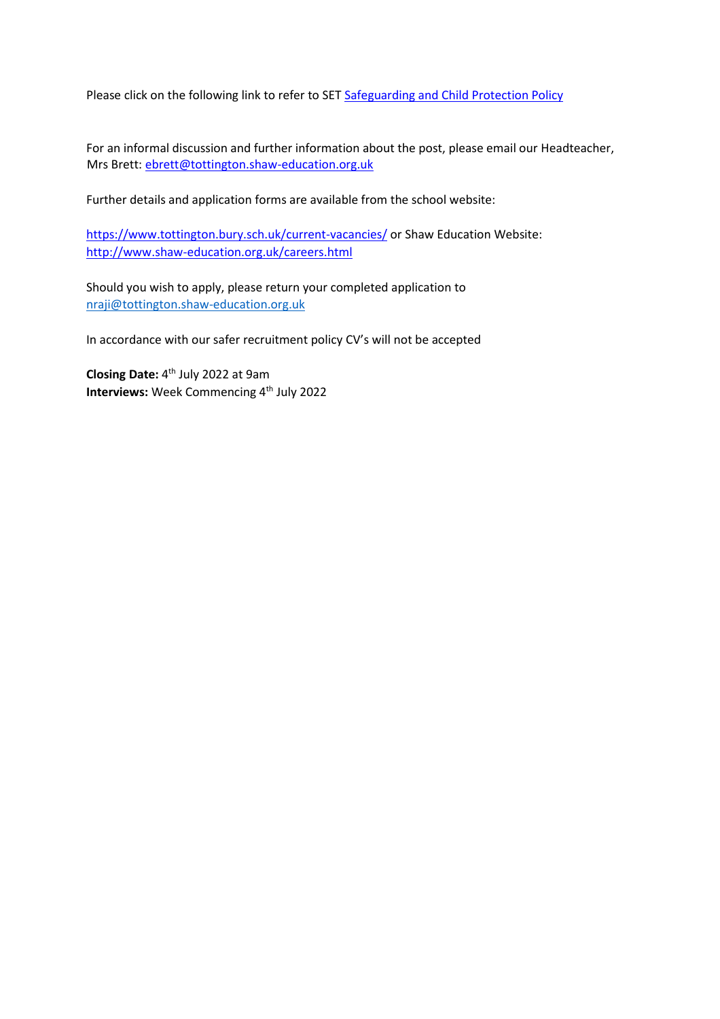Please click on the following link to refer to SE[T Safeguarding and Child Protection Policy](https://www.shaw-education.org.uk/uploads/New%20SET%20documents/Central%20Policies/Safeguarding%20and%20Pupil%20Protection%20Policy%202021-22.pdf)

For an informal discussion and further information about the post, please email our Headteacher, Mrs Brett: ebrett@tottington.shaw-education.org.uk

Further details and application forms are available from the school website:

<https://www.tottington.bury.sch.uk/current-vacancies/> [o](https://www.tottington.bury.sch.uk/current-vacancies/)r Shaw Education Website: <http://www.shaw-education.org.uk/careers.html>

Should you wish to apply, please return your completed application to [nraji@tottington.shaw-education.org.uk](mailto:nraji@tottington.shaw-education.org.uk)

In accordance with our safer recruitment policy CV's will not be accepted

**Closing Date:** 4 th July 2022 at 9am **Interviews:** Week Commencing 4<sup>th</sup> July 2022